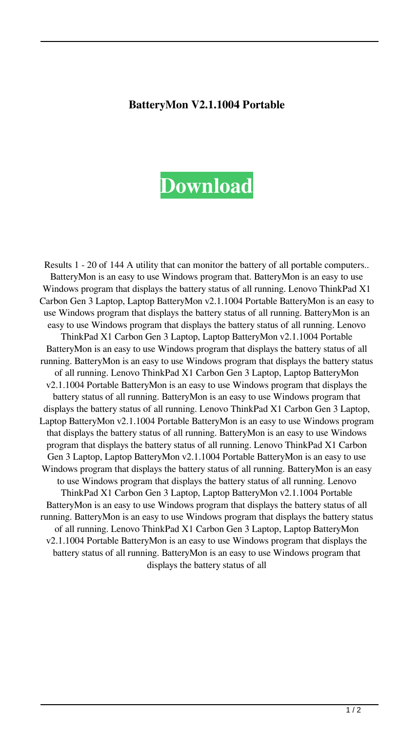## **BatteryMon V2.1.1004 Portable**

## **[Download](http://evacdir.com/QmF0dGVyeU1vbiB2Mi4xLjEwMDQgUG9ydGFibGUQmF.ZG93bmxvYWR8WE01TW1sb2JueDhNVFkxTWpjME1EZzJObng4TWpVM05IeDhLRTBwSUhKbFlXUXRZbXh2WnlCYlJtRnpkQ0JIUlU1ZA/cannabis.nitromethane.ravished.depigmented/smolder.razzmatazz)**

Results 1 - 20 of 144 A utility that can monitor the battery of all portable computers.. BatteryMon is an easy to use Windows program that. BatteryMon is an easy to use Windows program that displays the battery status of all running. Lenovo ThinkPad X1 Carbon Gen 3 Laptop, Laptop BatteryMon v2.1.1004 Portable BatteryMon is an easy to use Windows program that displays the battery status of all running. BatteryMon is an easy to use Windows program that displays the battery status of all running. Lenovo ThinkPad X1 Carbon Gen 3 Laptop, Laptop BatteryMon v2.1.1004 Portable BatteryMon is an easy to use Windows program that displays the battery status of all running. BatteryMon is an easy to use Windows program that displays the battery status of all running. Lenovo ThinkPad X1 Carbon Gen 3 Laptop, Laptop BatteryMon v2.1.1004 Portable BatteryMon is an easy to use Windows program that displays the battery status of all running. BatteryMon is an easy to use Windows program that displays the battery status of all running. Lenovo ThinkPad X1 Carbon Gen 3 Laptop, Laptop BatteryMon v2.1.1004 Portable BatteryMon is an easy to use Windows program that displays the battery status of all running. BatteryMon is an easy to use Windows program that displays the battery status of all running. Lenovo ThinkPad X1 Carbon Gen 3 Laptop, Laptop BatteryMon v2.1.1004 Portable BatteryMon is an easy to use Windows program that displays the battery status of all running. BatteryMon is an easy to use Windows program that displays the battery status of all running. Lenovo ThinkPad X1 Carbon Gen 3 Laptop, Laptop BatteryMon v2.1.1004 Portable BatteryMon is an easy to use Windows program that displays the battery status of all running. BatteryMon is an easy to use Windows program that displays the battery status of all running. Lenovo ThinkPad X1 Carbon Gen 3 Laptop, Laptop BatteryMon v2.1.1004 Portable BatteryMon is an easy to use Windows program that displays the battery status of all running. BatteryMon is an easy to use Windows program that displays the battery status of all